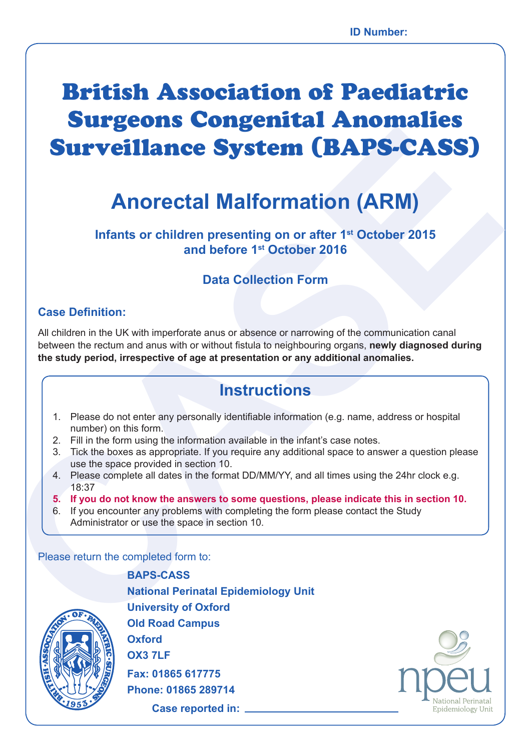# British Association of Paediatric Surgeons Congenital Anomalies Surveillance System (BAPS-CASS)

## **Anorectal Malformation (ARM)**

**Infants or children presenting on or after 1st October 2015 and before 1st October 2016**

## **Data Collection Form**

### **Case Definition:**

**CALCOMBY AND SURFACE SURFACES SURFACES SURFACES SURFACES SURFACES SURFACES AND INTEREST OF THE COLOR TO THE COLOR CONSULTS AND CHIRED TO THE COLOR CONSULTS AND CHIRED TO THE COLOR CONSULTS AND CHIRED TO THE COLOR CONSULTS** All children in the UK with imperforate anus or absence or narrowing of the communication canal between the rectum and anus with or without fistula to neighbouring organs, **newly diagnosed during the study period, irrespective of age at presentation or any additional anomalies.**

## **Instructions**

- 1. Please do not enter any personally identifiable information (e.g. name, address or hospital number) on this form.
- 2. Fill in the form using the information available in the infant's case notes.
- 3. Tick the boxes as appropriate. If you require any additional space to answer a question please use the space provided in section 10.
- 4. Please complete all dates in the format DD/MM/YY, and all times using the 24hr clock e.g. 18:37
- **5. If you do not know the answers to some questions, please indicate this in section 10.**
- 6. If you encounter any problems with completing the form please contact the Study Administrator or use the space in section 10.

Please return the completed form to:



**BAPS-CASS National Perinatal Epidemiology Unit University of Oxford Old Road Campus Oxford OX3 7LF Fax: 01865 617775 Phone: 01865 289714**

**Case reported in:** 

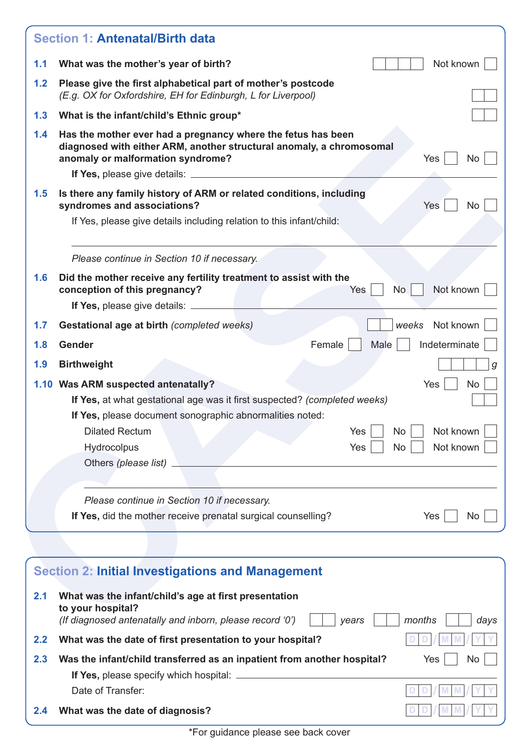| 1.1 | Not known<br>What was the mother's year of birth?                                                                                                                                             |
|-----|-----------------------------------------------------------------------------------------------------------------------------------------------------------------------------------------------|
| 1.2 | Please give the first alphabetical part of mother's postcode<br>(E.g. OX for Oxfordshire, EH for Edinburgh, L for Liverpool)                                                                  |
| 1.3 | What is the infant/child's Ethnic group*                                                                                                                                                      |
| 1.4 | Has the mother ever had a pregnancy where the fetus has been<br>diagnosed with either ARM, another structural anomaly, a chromosomal<br>anomaly or malformation syndrome?<br>Yes<br><b>No</b> |
|     |                                                                                                                                                                                               |
| 1.5 | Is there any family history of ARM or related conditions, including<br><b>Yes</b><br>syndromes and associations?<br><b>No</b>                                                                 |
|     | If Yes, please give details including relation to this infant/child:                                                                                                                          |
|     |                                                                                                                                                                                               |
|     | Please continue in Section 10 if necessary.                                                                                                                                                   |
| 1.6 | Did the mother receive any fertility treatment to assist with the<br>Not known<br>conception of this pregnancy?<br>Yes<br>No                                                                  |
|     | If Yes, please give details: ______                                                                                                                                                           |
| 1.7 | Not known<br>Gestational age at birth (completed weeks)<br>weeks                                                                                                                              |
| 1.8 | Female<br>Indeterminate<br><b>Gender</b><br>Male                                                                                                                                              |
| 1.9 | <b>Birthweight</b>                                                                                                                                                                            |
|     | 1.10 Was ARM suspected antenatally?<br>Yes<br><b>No</b>                                                                                                                                       |
|     | If Yes, at what gestational age was it first suspected? (completed weeks)                                                                                                                     |
|     | If Yes, please document sonographic abnormalities noted:                                                                                                                                      |
|     | <b>Dilated Rectum</b><br>Yes<br>No<br>Not known                                                                                                                                               |
|     | <b>No</b><br>Not known<br>Hydrocolpus<br>Yes                                                                                                                                                  |
|     | Others (please list)                                                                                                                                                                          |
|     |                                                                                                                                                                                               |
|     | Please continue in Section 10 if necessary.                                                                                                                                                   |
|     | If Yes, did the mother receive prenatal surgical counselling?<br>Yes<br>No                                                                                                                    |
|     |                                                                                                                                                                                               |
|     | <b>Section 2: Initial Investigations and Management</b>                                                                                                                                       |
|     |                                                                                                                                                                                               |
|     |                                                                                                                                                                                               |

|               | <b>Section 2: Initial Investigations and Management</b>                                                                                         |                   |
|---------------|-------------------------------------------------------------------------------------------------------------------------------------------------|-------------------|
| 2.1           | What was the infant/child's age at first presentation<br>to your hospital?<br>(If diagnosed antenatally and inborn, please record '0')<br>vears | months<br>days    |
| $2.2^{\circ}$ | What was the date of first presentation to your hospital?                                                                                       |                   |
| 2.3           | Was the infant/child transferred as an inpatient from another hospital?                                                                         | <b>Yes</b><br>No. |
|               | If Yes, please specify which hospital: $\equiv$                                                                                                 |                   |
|               | Date of Transfer:                                                                                                                               |                   |
| 2.4           | What was the date of diagnosis?                                                                                                                 |                   |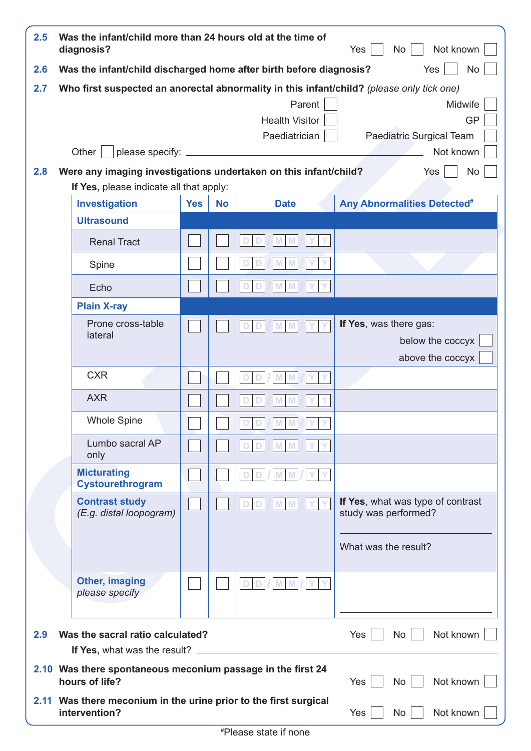| 2.5 | Was the infant/child more than 24 hours old at the time of<br>Not known<br>diagnosis?<br>No<br>Yes |            |           |                                                  |                                                                                                                                                            |  |
|-----|----------------------------------------------------------------------------------------------------|------------|-----------|--------------------------------------------------|------------------------------------------------------------------------------------------------------------------------------------------------------------|--|
| 2.6 | Was the infant/child discharged home after birth before diagnosis?                                 |            |           |                                                  | <b>No</b><br>Yes                                                                                                                                           |  |
| 2.7 | Other                                                                                              |            |           | Parent<br><b>Health Visitor</b><br>Paediatrician | Who first suspected an anorectal abnormality in this infant/child? (please only tick one)<br>Midwife<br><b>GP</b><br>Paediatric Surgical Team<br>Not known |  |
| 2.8 | Were any imaging investigations undertaken on this infant/child?                                   |            |           |                                                  | Yes<br>No                                                                                                                                                  |  |
|     | If Yes, please indicate all that apply:                                                            |            |           |                                                  |                                                                                                                                                            |  |
|     | Investigation                                                                                      | <b>Yes</b> | <b>No</b> | <b>Date</b>                                      | <b>Any Abnormalities Detected<sup>#</sup></b>                                                                                                              |  |
|     | <b>Ultrasound</b>                                                                                  |            |           |                                                  |                                                                                                                                                            |  |
|     | <b>Renal Tract</b>                                                                                 |            |           |                                                  |                                                                                                                                                            |  |
|     | Spine                                                                                              |            |           |                                                  |                                                                                                                                                            |  |
|     | Echo                                                                                               |            |           |                                                  |                                                                                                                                                            |  |
|     | <b>Plain X-ray</b>                                                                                 |            |           |                                                  |                                                                                                                                                            |  |
|     | Prone cross-table<br>lateral                                                                       |            |           |                                                  | If Yes, was there gas:<br>below the coccyx<br>above the coccyx                                                                                             |  |
|     | <b>CXR</b>                                                                                         |            |           |                                                  |                                                                                                                                                            |  |
|     | <b>AXR</b>                                                                                         |            |           |                                                  |                                                                                                                                                            |  |
|     | <b>Whole Spine</b>                                                                                 |            |           |                                                  |                                                                                                                                                            |  |
|     | Lumbo sacral AP<br>only                                                                            |            |           |                                                  |                                                                                                                                                            |  |
|     | <b>Micturating</b><br>Cystourethrogram                                                             |            |           |                                                  |                                                                                                                                                            |  |
|     | <b>Contrast study</b><br>(E.g. distal loopogram)                                                   |            |           |                                                  | If Yes, what was type of contrast<br>study was performed?                                                                                                  |  |
|     |                                                                                                    |            |           |                                                  | What was the result?                                                                                                                                       |  |
|     | <b>Other, imaging</b><br>please specify                                                            |            |           |                                                  |                                                                                                                                                            |  |
| 2.9 | Was the sacral ratio calculated?<br>If Yes, what was the result?                                   |            |           |                                                  | Not known<br>No <sub>1</sub><br>Yes                                                                                                                        |  |
|     | 2.10 Was there spontaneous meconium passage in the first 24<br>hours of life?                      |            |           |                                                  | Not known<br>Yes<br>No                                                                                                                                     |  |
|     | 2.11 Was there meconium in the urine prior to the first surgical<br>intervention?                  |            |           |                                                  | No<br>Not known<br>Yes                                                                                                                                     |  |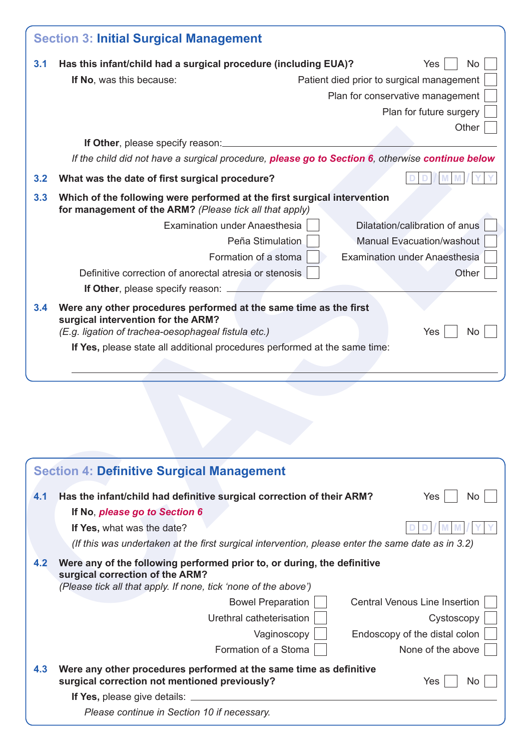| 3.1 | Has this infant/child had a surgical procedure (including EUA)?<br>Yes<br>No.                                                                                                 |
|-----|-------------------------------------------------------------------------------------------------------------------------------------------------------------------------------|
|     | If No, was this because:<br>Patient died prior to surgical management                                                                                                         |
|     | Plan for conservative management                                                                                                                                              |
|     | Plan for future surgery                                                                                                                                                       |
|     | Other                                                                                                                                                                         |
|     | If Other, please specify reason:                                                                                                                                              |
|     | If the child did not have a surgical procedure, please go to Section 6, otherwise continue below                                                                              |
| 3.2 | What was the date of first surgical procedure?                                                                                                                                |
| 3.3 | Which of the following were performed at the first surgical intervention<br>for management of the ARM? (Please tick all that apply)                                           |
|     | Dilatation/calibration of anus<br>Examination under Anaesthesia                                                                                                               |
|     | <b>Manual Evacuation/washout</b><br>Peña Stimulation                                                                                                                          |
|     | Formation of a stoma<br><b>Examination under Anaesthesia</b>                                                                                                                  |
|     | Definitive correction of anorectal atresia or stenosis<br>Other                                                                                                               |
|     | If Other, please specify reason: _____                                                                                                                                        |
|     | If Yes, please state all additional procedures performed at the same time:                                                                                                    |
|     |                                                                                                                                                                               |
|     |                                                                                                                                                                               |
|     | <b>Section 4: Definitive Surgical Management</b>                                                                                                                              |
| 4.1 | Has the infant/child had definitive surgical correction of their ARM?<br>Yes                                                                                                  |
|     | If No, please go to Section 6                                                                                                                                                 |
|     | If Yes, what was the date?                                                                                                                                                    |
|     | (If this was undertaken at the first surgical intervention, please enter the same date as in 3.2)                                                                             |
| 4.2 | Were any of the following performed prior to, or during, the definitive<br>surgical correction of the ARM?<br>(Please tick all that apply. If none, tick 'none of the above') |
|     | No.<br><b>Bowel Preparation</b><br><b>Central Venous Line Insertion</b>                                                                                                       |

|     | <b>Section 4: Definitive Surgical Management</b>                                                                                                                              |                                      |
|-----|-------------------------------------------------------------------------------------------------------------------------------------------------------------------------------|--------------------------------------|
| 4.1 | Has the infant/child had definitive surgical correction of their ARM?                                                                                                         | Yes<br>No.                           |
|     | If No, please go to Section 6                                                                                                                                                 |                                      |
|     | If Yes, what was the date?                                                                                                                                                    |                                      |
|     | (If this was undertaken at the first surgical intervention, please enter the same date as in 3.2)                                                                             |                                      |
| 4.2 | Were any of the following performed prior to, or during, the definitive<br>surgical correction of the ARM?<br>(Please tick all that apply. If none, tick 'none of the above') |                                      |
|     | <b>Bowel Preparation</b>                                                                                                                                                      | <b>Central Venous Line Insertion</b> |
|     | Urethral catheterisation                                                                                                                                                      | Cystoscopy                           |
|     | Vaginoscopy                                                                                                                                                                   | Endoscopy of the distal colon        |
|     | Formation of a Stoma                                                                                                                                                          | None of the above                    |
| 4.3 | Were any other procedures performed at the same time as definitive<br>surgical correction not mentioned previously?                                                           | Yes<br>No.                           |
|     | If Yes, please give details:                                                                                                                                                  |                                      |
|     | Please continue in Section 10 if necessary.                                                                                                                                   |                                      |
|     |                                                                                                                                                                               |                                      |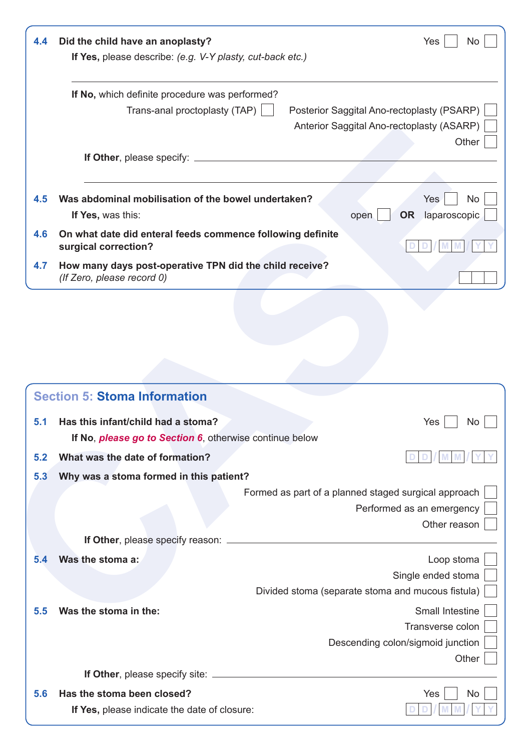| 4.4 | Did the child have an anoplasty?<br>If Yes, please describe: (e.g. V-Y plasty, cut-back etc.) |                                            | Yes<br>Nο                              |
|-----|-----------------------------------------------------------------------------------------------|--------------------------------------------|----------------------------------------|
|     | If No, which definite procedure was performed?<br>Trans-anal proctoplasty (TAP)               | Posterior Saggital Ano-rectoplasty (PSARP) |                                        |
|     |                                                                                               | Anterior Saggital Ano-rectoplasty (ASARP)  |                                        |
|     | <b>If Other, please specify:</b>                                                              |                                            | Other                                  |
| 4.5 | Was abdominal mobilisation of the bowel undertaken?<br>If Yes, was this:                      | open                                       | Yes<br>No<br><b>OR</b><br>laparoscopic |
| 4.6 | On what date did enteral feeds commence following definite<br>surgical correction?            |                                            |                                        |
| 4.7 | How many days post-operative TPN did the child receive?<br>(If Zero, please record 0)         |                                            |                                        |

|     |                                                                                       |                                                      | Other |
|-----|---------------------------------------------------------------------------------------|------------------------------------------------------|-------|
| 4.5 | Was abdominal mobilisation of the bowel undertaken?<br>If Yes, was this:              | <b>Yes</b><br>laparoscopic<br><b>OR</b><br>open      | No    |
| 4.6 | On what date did enteral feeds commence following definite<br>surgical correction?    |                                                      |       |
| 4.7 | How many days post-operative TPN did the child receive?<br>(If Zero, please record 0) |                                                      |       |
|     | <b>Section 5: Stoma Information</b>                                                   |                                                      |       |
|     |                                                                                       |                                                      |       |
| 5.1 | Has this infant/child had a stoma?                                                    | Yes                                                  | No    |
|     | If No, please go to Section 6, otherwise continue below                               |                                                      |       |
| 5.2 | What was the date of formation?                                                       |                                                      |       |
| 5.3 | Why was a stoma formed in this patient?                                               |                                                      |       |
|     |                                                                                       | Formed as part of a planned staged surgical approach |       |
|     |                                                                                       | Performed as an emergency                            |       |
|     |                                                                                       | Other reason                                         |       |
| 5.4 | Was the stoma a:                                                                      | Loop stoma                                           |       |
|     |                                                                                       | Single ended stoma                                   |       |
|     |                                                                                       | Divided stoma (separate stoma and mucous fistula)    |       |
| 5.5 | Was the stoma in the:                                                                 | Small Intestine                                      |       |
|     |                                                                                       | Transverse colon                                     |       |
|     |                                                                                       | Descending colon/sigmoid junction                    |       |
|     |                                                                                       |                                                      | Other |
| 5.6 | Has the stoma been closed?                                                            | Yes                                                  | No    |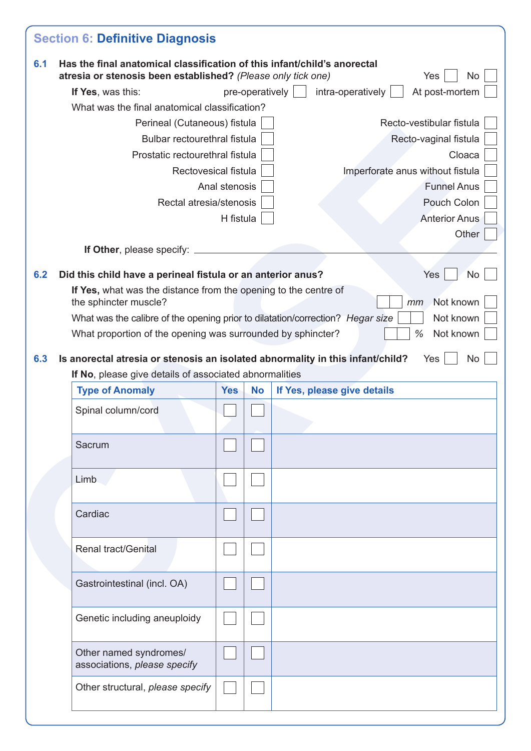| 6.1 | Has the final anatomical classification of this infant/child's anorectal<br>atresia or stenosis been established? (Please only tick one)                                                                |               |                 |  |                                  |    | Yes                      | No.       |
|-----|---------------------------------------------------------------------------------------------------------------------------------------------------------------------------------------------------------|---------------|-----------------|--|----------------------------------|----|--------------------------|-----------|
|     | If Yes, was this:                                                                                                                                                                                       |               | pre-operatively |  | intra-operatively                |    | At post-mortem           |           |
|     | What was the final anatomical classification?                                                                                                                                                           |               |                 |  |                                  |    |                          |           |
|     | Perineal (Cutaneous) fistula                                                                                                                                                                            |               |                 |  |                                  |    | Recto-vestibular fistula |           |
|     | Bulbar rectourethral fistula                                                                                                                                                                            |               |                 |  |                                  |    | Recto-vaginal fistula    |           |
|     | Prostatic rectourethral fistula                                                                                                                                                                         |               |                 |  |                                  |    |                          | Cloaca    |
|     | Rectovesical fistula                                                                                                                                                                                    |               |                 |  | Imperforate anus without fistula |    |                          |           |
|     |                                                                                                                                                                                                         | Anal stenosis |                 |  |                                  |    | <b>Funnel Anus</b>       |           |
|     | Rectal atresia/stenosis                                                                                                                                                                                 |               |                 |  |                                  |    | Pouch Colon              |           |
|     |                                                                                                                                                                                                         | H fistula     |                 |  |                                  |    | <b>Anterior Anus</b>     |           |
|     |                                                                                                                                                                                                         |               |                 |  |                                  |    |                          | Other     |
|     | If Other, please specify:                                                                                                                                                                               |               |                 |  |                                  |    |                          |           |
| 6.2 | Did this child have a perineal fistula or an anterior anus?                                                                                                                                             |               |                 |  |                                  |    | Yes                      | <b>No</b> |
|     | If Yes, what was the distance from the opening to the centre of                                                                                                                                         |               |                 |  |                                  |    |                          |           |
|     | the sphincter muscle?                                                                                                                                                                                   |               |                 |  |                                  | mm | Not known                |           |
|     | What was the calibre of the opening prior to dilatation/correction? Hegar size                                                                                                                          |               |                 |  |                                  |    | Not known                |           |
|     |                                                                                                                                                                                                         |               |                 |  |                                  |    |                          |           |
| 6.3 | What proportion of the opening was surrounded by sphincter?<br>Is anorectal atresia or stenosis an isolated abnormality in this infant/child?<br>If No, please give details of associated abnormalities |               |                 |  |                                  | %  | Not known<br>Yes         |           |
|     | <b>Type of Anomaly</b>                                                                                                                                                                                  | <b>Yes</b>    | <b>No</b>       |  | If Yes, please give details      |    |                          |           |
|     | Spinal column/cord                                                                                                                                                                                      |               |                 |  |                                  |    |                          |           |
|     | Sacrum                                                                                                                                                                                                  |               |                 |  |                                  |    |                          |           |
|     | Limb                                                                                                                                                                                                    |               |                 |  |                                  |    |                          |           |
|     | Cardiac                                                                                                                                                                                                 |               |                 |  |                                  |    |                          |           |
|     | Renal tract/Genital                                                                                                                                                                                     |               |                 |  |                                  |    |                          |           |
|     | Gastrointestinal (incl. OA)                                                                                                                                                                             |               |                 |  |                                  |    |                          |           |
|     | Genetic including aneuploidy                                                                                                                                                                            |               |                 |  |                                  |    |                          |           |
|     | Other named syndromes/<br>associations, please specify                                                                                                                                                  |               |                 |  |                                  |    |                          | No        |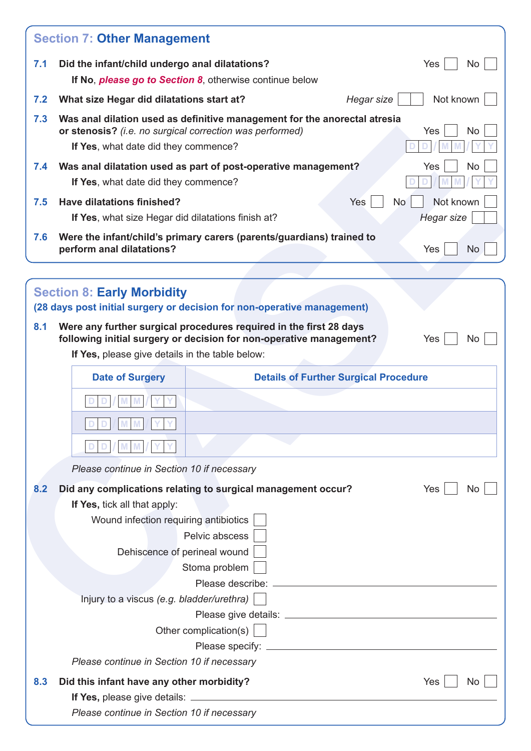|     | <b>Section 7: Other Management</b>                                                                                                                                                   |           |
|-----|--------------------------------------------------------------------------------------------------------------------------------------------------------------------------------------|-----------|
| 7.1 | Did the infant/child undergo anal dilatations?<br>Yes                                                                                                                                | No        |
|     | If No, <i>please go to Section 8</i> , otherwise continue below                                                                                                                      |           |
| 7.2 | Not known<br>What size Hegar did dilatations start at?<br>Hegar size                                                                                                                 |           |
| 7.3 | Was anal dilation used as definitive management for the anorectal atresia<br>or stenosis? (i.e. no surgical correction was performed)<br>Yes<br>If Yes, what date did they commence? | <b>No</b> |
| 7.4 | Was anal dilatation used as part of post-operative management?<br>Yes                                                                                                                | No        |
|     | If Yes, what date did they commence?                                                                                                                                                 |           |
| 7.5 | Have dilatations finished?<br>Yes<br>Not known<br><b>No</b>                                                                                                                          |           |
|     | <b>Hegar size</b><br>If Yes, what size Hegar did dilatations finish at?                                                                                                              |           |
| 7.6 | Were the infant/child's primary carers (parents/guardians) trained to<br>perform anal dilatations?<br>Yes                                                                            | <b>No</b> |
|     |                                                                                                                                                                                      |           |
|     | <b>Section 8: Early Morbidity</b><br>(28 days post initial surgery or decision for non-operative management)                                                                         |           |
| 8.1 | Were any further surgical procedures required in the first 28 days<br>following initial surgery or decision for non-operative management?<br>Yes                                     | No.       |
|     | If Yes, please give details in the table below:                                                                                                                                      |           |
|     | <b>Details of Further Surgical Procedure</b><br><b>Date of Surgery</b>                                                                                                               |           |
|     |                                                                                                                                                                                      |           |
|     | $\ W\ $ $\ W\ $                                                                                                                                                                      |           |
|     |                                                                                                                                                                                      |           |
|     |                                                                                                                                                                                      |           |
|     | Please continue in Section 10 if necessary                                                                                                                                           |           |
| 8.2 | Did any complications relating to surgical management occur?<br>Yes                                                                                                                  | No.       |
|     | If Yes, tick all that apply:                                                                                                                                                         |           |
|     | Wound infection requiring antibiotics<br>Pelvic abscess                                                                                                                              |           |
|     | Dehiscence of perineal wound                                                                                                                                                         |           |
|     | Stoma problem                                                                                                                                                                        |           |
|     |                                                                                                                                                                                      |           |
|     | Injury to a viscus (e.g. bladder/urethra)                                                                                                                                            |           |
|     |                                                                                                                                                                                      |           |
|     | Other complication(s)                                                                                                                                                                |           |
|     |                                                                                                                                                                                      |           |
|     | Please continue in Section 10 if necessary                                                                                                                                           |           |
| 8.3 | Did this infant have any other morbidity?<br>Yes                                                                                                                                     | No        |
|     | Please continue in Section 10 if necessary                                                                                                                                           |           |